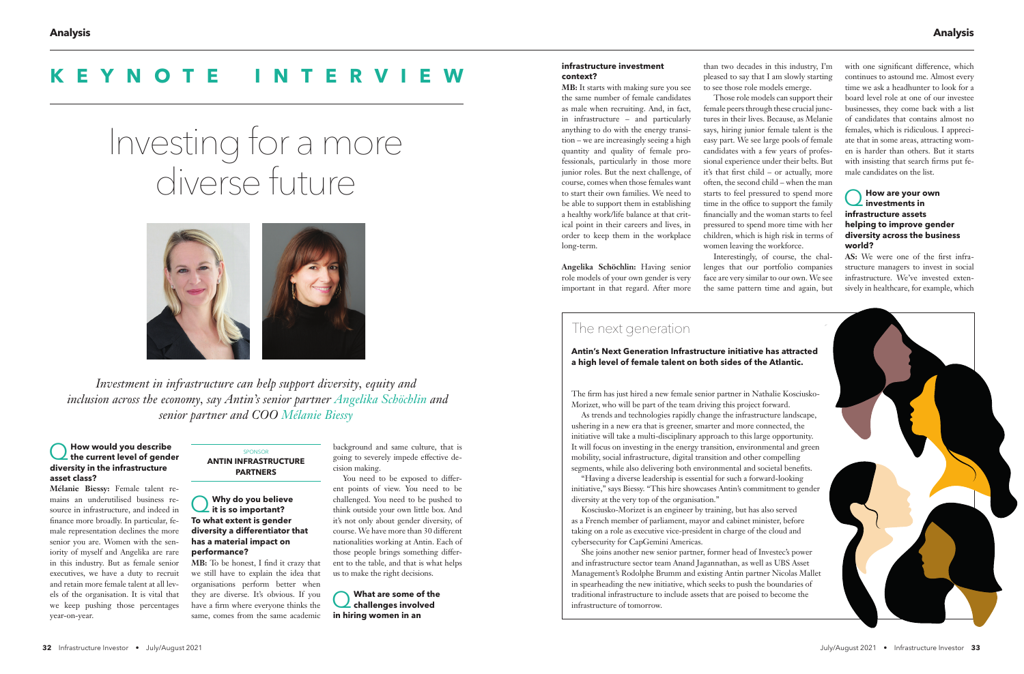# **KEYNOTE INTERVIE**

*Investment in infrastructure can help support diversity, equity and inclusion across the economy, say Antin's senior partner Angelika Schöchlin and senior partner and COO Mélanie Biessy*

## Q**How would you describe the current level of gender diversity in the infrastructure asset class?**

**Mélanie Biessy:** Female talent remains an underutilised business resource in infrastructure, and indeed in finance more broadly. In particular, female representation declines the more senior you are. Women with the seniority of myself and Angelika are rare in this industry. But as female senior executives, we have a duty to recruit and retain more female talent at all levels of the organisation. It is vital that we keep pushing those percentages year-on-year.

## Q **Why do you believe it is so important? To what extent is gender diversity a differentiator that has a material impact on performance?**

**MB:** To be honest, I find it crazy that we still have to explain the idea that organisations perform better when they are diverse. It's obvious. If you have a firm where everyone thinks the same, comes from the same academic background and same culture, that is going to severely impede effective decision making.

You need to be exposed to different points of view. You need to be challenged. You need to be pushed to think outside your own little box. And it's not only about gender diversity, of course. We have more than 30 different nationalities working at Antin. Each of those people brings something different to the table, and that is what helps us to make the right decisions.

Q **What are some of the challenges involved in hiring women in an** 

#### **infrastructure investment context?**

**MB:** It starts with making sure you see the same number of female candidates as male when recruiting. And, in fact, in infrastructure – and particularly anything to do with the energy transition – we are increasingly seeing a high quantity and quality of female professionals, particularly in those more junior roles. But the next challenge, of course, comes when those females want to start their own families. We need to be able to support them in establishing a healthy work/life balance at that critical point in their careers and lives, in order to keep them in the workplace long-term.

**Angelika Schöchlin:** Having senior role models of your own gender is very important in that regard. After more

#### SPONSOR **ANTIN INFRASTRUCTURE PARTNERS**

# Investing for a more diverse future



The firm has just hired a new female senior partner in Nathalie Kosciusko-Morizet, who will be part of the team driving this project forward.

As trends and technologies rapidly change the infrastructure landscape, ushering in a new era that is greener, smarter and more connected, the initiative will take a multi-disciplinary approach to this large opportunity. It will focus on investing in the energy transition, environmental and green mobility, social infrastructure, digital transition and other compelling segments, while also delivering both environmental and societal benefits.

"Having a diverse leadership is essential for such a forward-looking initiative," says Biessy. "This hire showcases Antin's commitment to gender diversity at the very top of the organisation."

Kosciusko-Morizet is an engineer by training, but has also served as a French member of parliament, mayor and cabinet minister, before taking on a role as executive vice-president in charge of the cloud and cybersecurity for CapGemini Americas.

She joins another new senior partner, former head of Investec's power and infrastructure sector team Anand Jagannathan, as well as UBS Asset Management's Rodolphe Brumm and existing Antin partner Nicolas Mallet in spearheading the new initiative, which seeks to push the boundaries of traditional infrastructure to include assets that are poised to become the infrastructure of tomorrow.

**Antin's Next Generation Infrastructure initiative has attracted a high level of female talent on both sides of the Atlantic.** 

## The next generation

than two decades in this industry, I'm pleased to say that I am slowly starting to see those role models emerge.

Those role models can support their female peers through these crucial junctures in their lives. Because, as Melanie says, hiring junior female talent is the easy part. We see large pools of female candidates with a few years of professional experience under their belts. But it's that first child – or actually, more often, the second child – when the man starts to feel pressured to spend more time in the office to support the family financially and the woman starts to feel pressured to spend more time with her children, which is high risk in terms of women leaving the workforce.

Interestingly, of course, the challenges that our portfolio companies face are very similar to our own. We see the same pattern time and again, but

with one significant difference, which continues to astound me. Almost every time we ask a headhunter to look for a board level role at one of our investee businesses, they come back with a list of candidates that contains almost no females, which is ridiculous. I appreciate that in some areas, attracting women is harder than others. But it starts with insisting that search firms put female candidates on the list.

#### Q **How are your own investments in infrastructure assets helping to improve gender diversity across the business world?**

**AS:** We were one of the first infrastructure managers to invest in social infrastructure. We've invested extensively in healthcare, for example, which